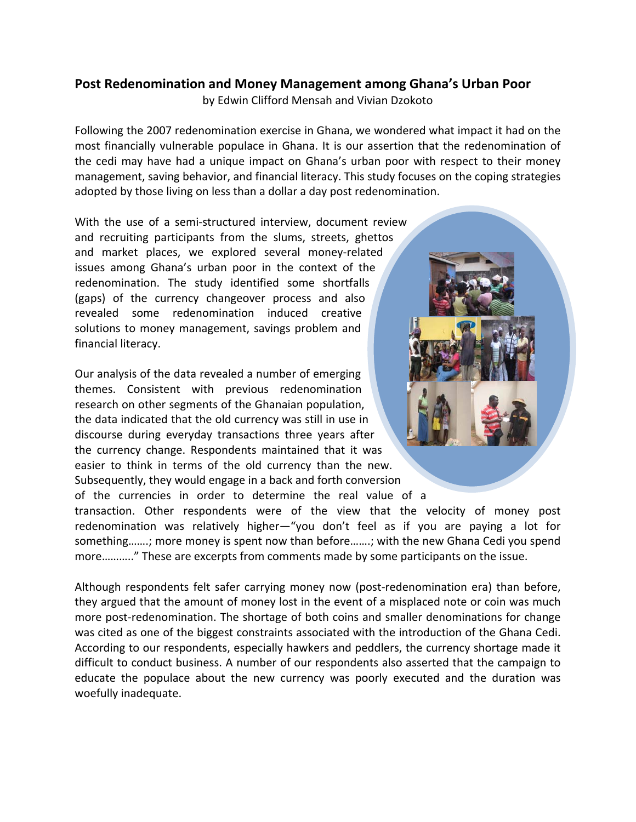## **Post Redenomination and Money Management among Ghana's Urban Poor**

by Edwin Clifford Mensah and Vivian Dzokoto

Following the 2007 redenomination exercise in Ghana, we wondered what impact it had on the most financially vulnerable populace in Ghana. It is our assertion that the redenomination of the cedi may have had a unique impact on Ghana's urban poor with respect to their money management, saving behavior, and financial literacy. This study focuses on the coping strategies adopted by those living on less than a dollar a day post redenomination.

With the use of a semi-structured interview, document review and recruiting participants from the slums, streets, ghettos and market places, we explored several money-related issues among Ghana's urban poor in the context of the redenomination. The study identified some shortfalls (gaps) of the currency changeover process and also revealed some redenomination induced creative solutions to money management, savings problem and financial literacy.

Our analysis of the data revealed a number of emerging themes. Consistent with previous redenomination research on other segments of the Ghanaian population, the data indicated that the old currency was still in use in discourse during everyday transactions three years after the currency change. Respondents maintained that it was easier to think in terms of the old currency than the new. Subsequently, they would engage in a back and forth conversion of the currencies in order to determine the real value of a



transaction. Other respondents were of the view that the velocity of money post redenomination was relatively higher—"you don't feel as if you are paying a lot for something…….; more money is spent now than before…….; with the new Ghana Cedi you spend more……….." These are excerpts from comments made by some participants on the issue.

Although respondents felt safer carrying money now (post-redenomination era) than before, they argued that the amount of money lost in the event of a misplaced note or coin was much more post-redenomination. The shortage of both coins and smaller denominations for change was cited as one of the biggest constraints associated with the introduction of the Ghana Cedi. According to our respondents, especially hawkers and peddlers, the currency shortage made it difficult to conduct business. A number of our respondents also asserted that the campaign to educate the populace about the new currency was poorly executed and the duration was woefully inadequate.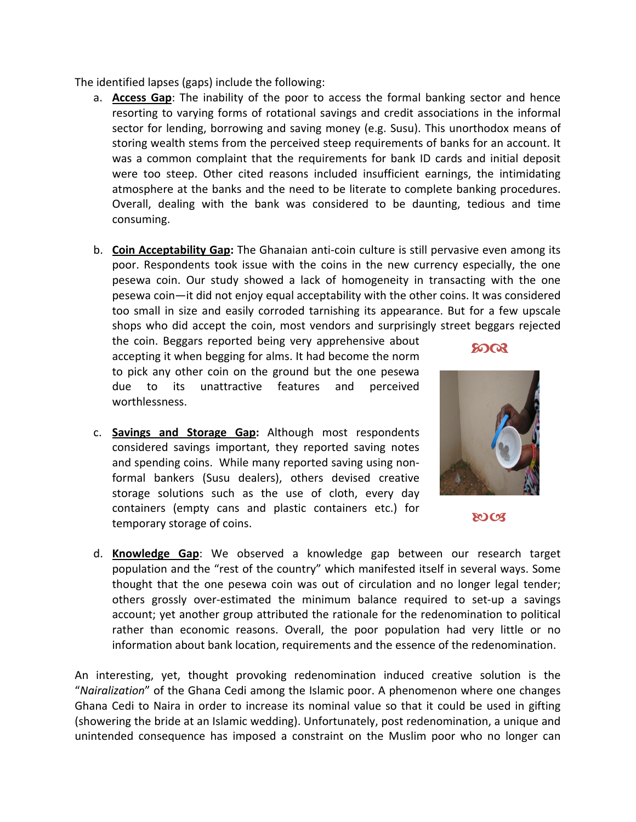The identified lapses (gaps) include the following:

- a. **Access Gap**: The inability of the poor to access the formal banking sector and hence resorting to varying forms of rotational savings and credit associations in the informal sector for lending, borrowing and saving money (e.g. Susu). This unorthodox means of storing wealth stems from the perceived steep requirements of banks for an account. It was a common complaint that the requirements for bank ID cards and initial deposit were too steep. Other cited reasons included insufficient earnings, the intimidating atmosphere at the banks and the need to be literate to complete banking procedures. Overall, dealing with the bank was considered to be daunting, tedious and time consuming.
- b. **Coin Acceptability Gap:** The Ghanaian anti‐coin culture is still pervasive even among its poor. Respondents took issue with the coins in the new currency especially, the one pesewa coin. Our study showed a lack of homogeneity in transacting with the one pesewa coin—it did not enjoy equal acceptability with the other coins. It was considered too small in size and easily corroded tarnishing its appearance. But for a few upscale shops who did accept the coin, most vendors and surprisingly street beggars rejected

the coin. Beggars reported being very apprehensive about accepting it when begging for alms. It had become the norm to pick any other coin on the ground but the one pesewa due to its unattractive features and perceived worthlessness.

c. **Savings and Storage Gap:** Although most respondents considered savings important, they reported saving notes and spending coins. While many reported saving using non‐ formal bankers (Susu dealers), others devised creative storage solutions such as the use of cloth, every day containers (empty cans and plastic containers etc.) for temporary storage of coins.



**8008** 

**SOCT** 

d. **Knowledge Gap**: We observed a knowledge gap between our research target population and the "rest of the country" which manifested itself in several ways. Some thought that the one pesewa coin was out of circulation and no longer legal tender; others grossly over‐estimated the minimum balance required to set‐up a savings account; yet another group attributed the rationale for the redenomination to political rather than economic reasons. Overall, the poor population had very little or no information about bank location, requirements and the essence of the redenomination.

An interesting, yet, thought provoking redenomination induced creative solution is the "*Nairalization*" of the Ghana Cedi among the Islamic poor. A phenomenon where one changes Ghana Cedi to Naira in order to increase its nominal value so that it could be used in gifting (showering the bride at an Islamic wedding). Unfortunately, post redenomination, a unique and unintended consequence has imposed a constraint on the Muslim poor who no longer can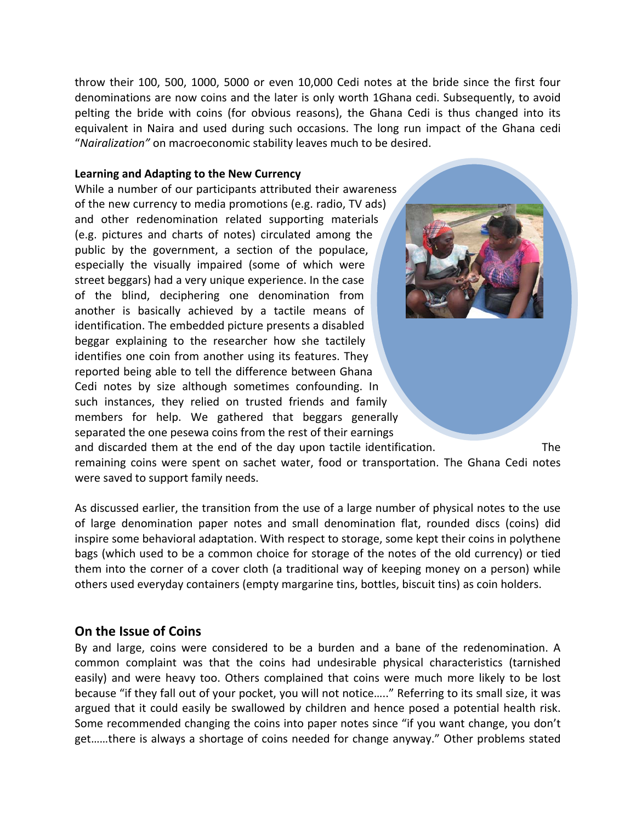throw their 100, 500, 1000, 5000 or even 10,000 Cedi notes at the bride since the first four denominations are now coins and the later is only worth 1Ghana cedi. Subsequently, to avoid pelting the bride with coins (for obvious reasons), the Ghana Cedi is thus changed into its equivalent in Naira and used during such occasions. The long run impact of the Ghana cedi "*Nairalization"* on macroeconomic stability leaves much to be desired.

## **Learning and Adapting to the New Currency**

While a number of our participants attributed their awareness of the new currency to media promotions (e.g. radio, TV ads) and other redenomination related supporting materials (e.g. pictures and charts of notes) circulated among the public by the government, a section of the populace, especially the visually impaired (some of which were street beggars) had a very unique experience. In the case of the blind, deciphering one denomination from another is basically achieved by a tactile means of identification. The embedded picture presents a disabled beggar explaining to the researcher how she tactilely identifies one coin from another using its features. They reported being able to tell the difference between Ghana Cedi notes by size although sometimes confounding. In such instances, they relied on trusted friends and family members for help. We gathered that beggars generally separated the one pesewa coins from the rest of their earnings and discarded them at the end of the day upon tactile identification. The remaining coins were spent on sachet water, food or transportation. The Ghana Cedi notes were saved to support family needs.

As discussed earlier, the transition from the use of a large number of physical notes to the use of large denomination paper notes and small denomination flat, rounded discs (coins) did inspire some behavioral adaptation. With respect to storage, some kept their coins in polythene bags (which used to be a common choice for storage of the notes of the old currency) or tied them into the corner of a cover cloth (a traditional way of keeping money on a person) while others used everyday containers (empty margarine tins, bottles, biscuit tins) as coin holders.

## **On the Issue of Coins**

By and large, coins were considered to be a burden and a bane of the redenomination. A common complaint was that the coins had undesirable physical characteristics (tarnished easily) and were heavy too. Others complained that coins were much more likely to be lost because "if they fall out of your pocket, you will not notice….." Referring to its small size, it was argued that it could easily be swallowed by children and hence posed a potential health risk. Some recommended changing the coins into paper notes since "if you want change, you don't get……there is always a shortage of coins needed for change anyway." Other problems stated